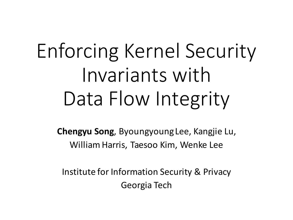# Enforcing Kernel Security Invariants with Data Flow Integrity

**Chengyu Song, Byoungyoung Lee, Kangjie Lu,** William Harris, Taesoo Kim, Wenke Lee

Institute for Information Security & Privacy Georgia Tech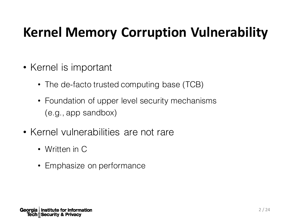### **Kernel Memory Corruption Vulnerability**

- Kernel is important
	- The de-facto trusted computing base (TCB)
	- Foundation of upper level security mechanisms (e.g., app sandbox)
- Kernel vulnerabilities are not rare
	- Written in C
	- Emphasize on performance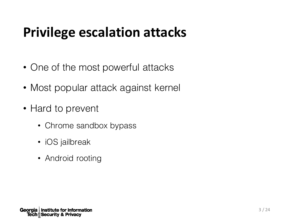### **Privilege escalation attacks**

- One of the most powerful attacks
- Most popular attack against kernel
- Hard to prevent
	- Chrome sandbox bypass
	- iOS jailbreak
	- Android rooting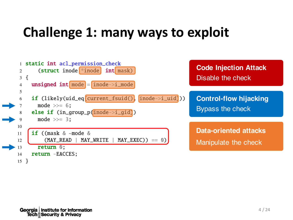### **Challenge 1: many ways to exploit**

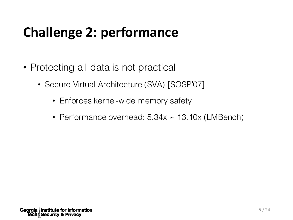## **Challenge 2: performance**

- Protecting all data is not practical
	- Secure Virtual Architecture (SVA) [SOSP'07]
		- Enforces kernel-wide memory safety
		- Performance overhead: 5.34x ~ 13.10x (LMBench)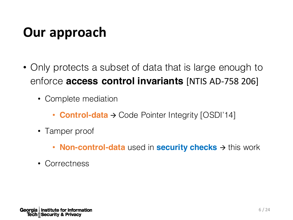#### **Our approach**

- Only protects a subset of data that is large enough to enforce **access control invariants** [NTIS AD-758 206]
	- Complete mediation
		- **Control-data**  $\rightarrow$  Code Pointer Integrity [OSDI'14]
	- Tamper proof
		- **Non-control-data** used in **security checks**  $\rightarrow$  this work
	- Correctness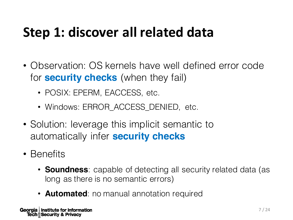### **Step 1: discover all related data**

- Observation: OS kernels have well defined error code for **security checks** (when they fail)
	- POSIX: EPERM, EACCESS, etc.
	- Windows: ERROR\_ACCESS\_DENIED, etc.
- Solution: leverage this implicit semantic to automatically infer **security checks**
- Benefits
	- **Soundness**: capable of detecting all security related data (as long as there is no semantic errors)
	- **Automated**: no manual annotation required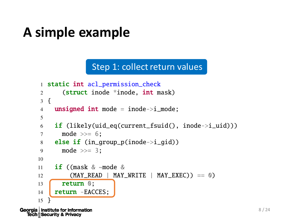#### **A simple example**

**Tech** *N* Security & Privacy

Step 1: collect return values

```
1 static int acl_permission_check
      2 (struct inode *inode, int mask)
      3 {
      4 unsigned int mode = inode->i_mode;
      5
      6 if (likely(uid_eq(current_fsuid(), inode->i_uid)))
      7 \qquad \text{mode} \gg= 6:
      8 else if (in_qroup_p(inode \rightarrow i_qid))9 mode >>= 3;
     10
     11 if ((mask & ~mode &
     12 (MAY_READ | MAY_WRITE | MAY_EXEC)) == 0)
     13 r return \mathbf{0};
     14 return -EACCES;
     15 }
Georgia | Institute for Information
```
 $8/24$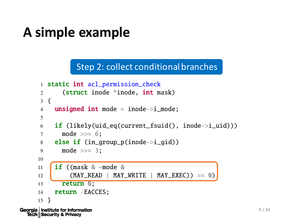#### **A simple example**

**Tech** *M* Security & Privacy

Step 2: collect conditional branches

```
1 static int acl_permission_check
     2 (struct inode *inode, int mask)
     3 {
     4 unsigned int mode = inode->i_mode;
      5
     6 if (likely(uid_eq(current_fsuid(), inode->i_uid)))
     7 \qquad \text{mode} \gg= 6:
     8 else if (in_qroup_p(inode \rightarrow i_qid))9 mode >>= 3;
     10
     11 if ((mask & ~mode &
     12 (MAY\_READ \mid MAY\_WRITE \mid MAY\_EXEC) == 0)
     13 return 0;
     14 return -EACCES;
     15 }
Georgia | Institute for Information
```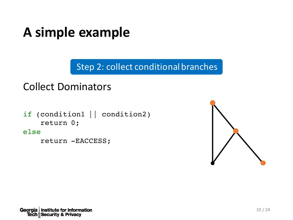#### A simple example

Step 2: collect conditional branches

#### **Collect Dominators**

if (condition1 || condition2) return 0;

else

return -EACCESS;

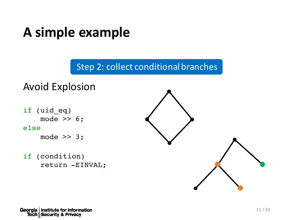#### A simple example

Step 2: collect conditional branches

## **Avoid Explosion**

if (uid\_eq) mode  $\gg$  6; else mode >> 3;

if (condition) return -EINVAL;



Georgia | Institute for Information **Tech**<sup></sup> Security & Privacy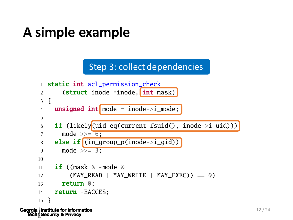#### A simple example

Step 3: collect dependencies

```
1 static int acl_permission_check
      2 (struct inode *inode, int mask)
      3 {
      4 unsigned int mode = inode->i_mode;
      5
      6 if (likely(uid_eq(current_fsuid(), inode->i_uid)))
      7 \qquad \text{mode} \gg = 6;
      8 else if (\text{in\_group\_p}(\text{inode} \rightarrow i\_gid))9 mode \gg = 3:
     10
     11 if ((mask & ~mode &
     12 (MAY\_READ \mid MAY\_WRITE \mid MAY\_EXEC) == 0)
     13 return 0;
     14 return -EACCES;
     15 }
Georgia | Institute for Information
```
**Tech** *M* Security & Privacy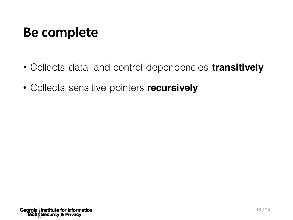#### **Be complete**

- Collects data- and control-dependencies **transitively**
- Collects sensitive pointers **recursively**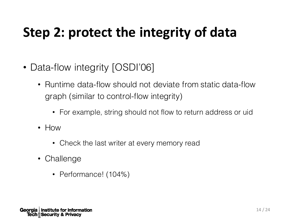### **Step 2: protect the integrity of data**

- Data-flow integrity [OSDI'06]
	- Runtime data-flow should not deviate from static data-flow graph (similar to control-flow integrity)
		- For example, string should not flow to return address or uid
	- How
		- Check the last writer at every memory read
	- Challenge
		- Performance! (104%)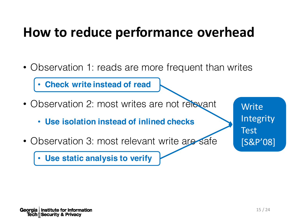#### **How to reduce performance overhead**

• Observation 1: reads are more frequent than writes

• **Check write instead of read**

- Observation 2: most writes are not relevant
	- **Use isolation instead of inlined checks**
- Observation 3: most relevant write are safe

**Write** Integrity Test [S&P'08]

• **Use static analysis to verify**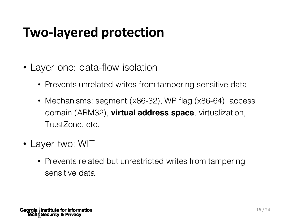#### **Two-layered protection**

- Layer one: data-flow isolation
	- Prevents unrelated writes from tampering sensitive data
	- Mechanisms: segment (x86-32), WP flag (x86-64), access domain (ARM32), **virtual address space**, virtualization, TrustZone, etc.
- Layer two: WIT
	- Prevents related but unrestricted writes from tampering sensitive data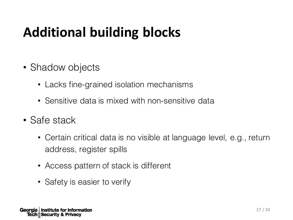## **Additional building blocks**

- Shadow objects
	- Lacks fine-grained isolation mechanisms
	- Sensitive data is mixed with non-sensitive data
- Safe stack
	- Certain critical data is no visible at language level, e.g., return address, register spills
	- Access pattern of stack is different
	- Safety is easier to verify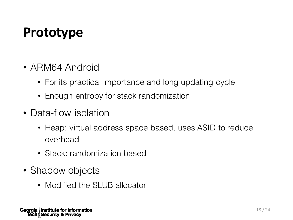#### **Prototype**

- ARM64 Android
	- For its practical importance and long updating cycle
	- Enough entropy for stack randomization
- Data-flow isolation
	- Heap: virtual address space based, uses ASID to reduce overhead
	- Stack: randomization based
- Shadow objects
	- Modified the SLUB allocator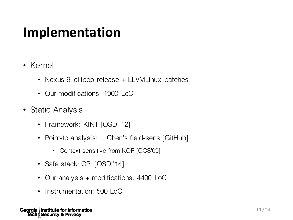#### **Implementation**

- Kernel
	- Nexus 9 lollipop-release + LLVMLinux patches
	- Our modifications: 1900 LoC
- Static Analysis
	- Framework: KINT [OSDI'12]
	- Point-to analysis: J. Chen's field-sens [GitHub]
		- Context sensitive from KOP [CCS'09]
	- Safe stack: CPI [OSDI'14]
	- Our analysis + modifications: 4400 LoC
	- Instrumentation: 500 LoC

Georgia | Institute for Information **Tech M Security & Privacy**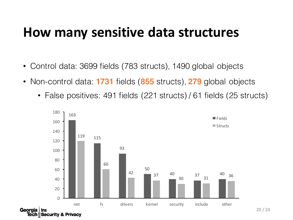#### **How many sensitive data structures**

- Control data: 3699 fields (783 structs), 1490 global objects
- Non-control data: **1731** fields (**855** structs), **279** global objects
	- False positives: 491 fields (221 structs) / 61 fields (25 structs)

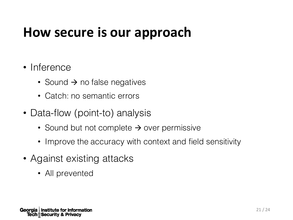#### **How secure is our approach**

#### • Inference

- Sound  $\rightarrow$  no false negatives
- Catch: no semantic errors
- Data-flow (point-to) analysis
	- Sound but not complete  $\rightarrow$  over permissive
	- Improve the accuracy with context and field sensitivity
- Against existing attacks
	- All prevented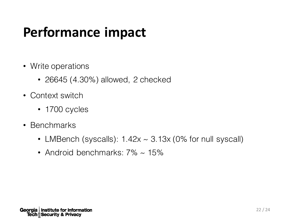### **Performance impact**

- Write operations
	- 26645 (4.30%) allowed, 2 checked
- Context switch
	- 1700 cycles
- Benchmarks
	- LMBench (syscalls):  $1.42x \sim 3.13x$  (0% for null syscall)
	- Android benchmarks:  $7\% \sim 15\%$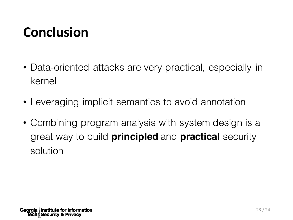### **Conclusion**

- Data-oriented attacks are very practical, especially in kernel
- Leveraging implicit semantics to avoid annotation
- Combining program analysis with system design is a great way to build **principled** and **practical** security solution